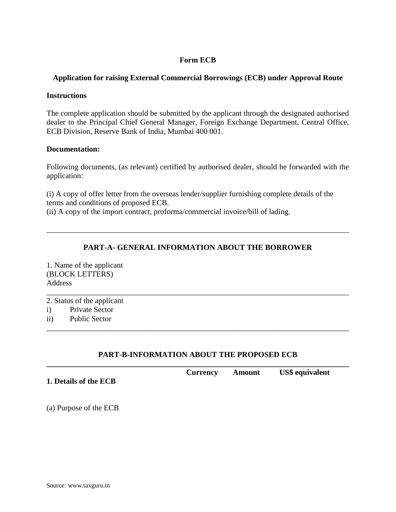## **Form ECB**

## **Application for raising External Commercial Borrowings (ECB) under Approval Route**

### **Instructions**

The complete application should be submitted by the applicant through the designated authorised dealer to the Principal Chief General Manager, Foreign Exchange Department, Central Office, ECB Division, Reserve Bank of India, Mumbai 400 001.

### **Documentation:**

Following documents, (as relevant) certified by authorised dealer, should be forwarded with the application:

(i) A copy of offer letter from the overseas lender/supplier furnishing complete details of the terms and conditions of proposed ECB.

(ii) A copy of the import contract, proforma/commercial invoice/bill of lading.

# **PART-A- GENERAL INFORMATION ABOUT THE BORROWER**

\_\_\_\_\_\_\_\_\_\_\_\_\_\_\_\_\_\_\_\_\_\_\_\_\_\_\_\_\_\_\_\_\_\_\_\_\_\_\_\_\_\_\_\_\_\_\_\_\_\_\_\_\_\_\_\_\_\_\_\_\_\_\_\_\_\_\_\_\_\_\_\_\_\_\_\_\_\_

\_\_\_\_\_\_\_\_\_\_\_\_\_\_\_\_\_\_\_\_\_\_\_\_\_\_\_\_\_\_\_\_\_\_\_\_\_\_\_\_\_\_\_\_\_\_\_\_\_\_\_\_\_\_\_\_\_\_\_\_\_\_\_\_\_\_\_\_\_\_\_\_\_\_\_\_\_\_

1. Name of the applicant (BLOCK LETTERS) **Address** 

2. Status of the applicant

- i) Private Sector
- ii) Public Sector

## **PART-B-INFORMATION ABOUT THE PROPOSED ECB**

\_\_\_\_\_\_\_\_\_\_\_\_\_\_\_\_\_\_\_\_\_\_\_\_\_\_\_\_\_\_\_\_\_\_\_\_\_\_\_\_\_\_\_\_\_\_\_\_\_\_\_\_\_\_\_\_\_\_\_\_\_\_\_\_\_\_\_\_\_\_\_\_\_\_\_\_\_\_

**\_\_\_\_\_\_\_\_\_\_\_\_\_\_\_\_\_\_\_\_\_\_\_\_\_\_\_\_\_\_\_\_\_\_\_\_\_\_\_\_\_\_\_\_\_\_\_\_\_\_\_\_\_\_\_\_\_\_\_\_\_\_\_\_\_\_\_\_\_\_\_\_\_\_\_\_\_\_ Currency Amount US\$ equivalent 1. Details of the ECB**

(a) Purpose of the ECB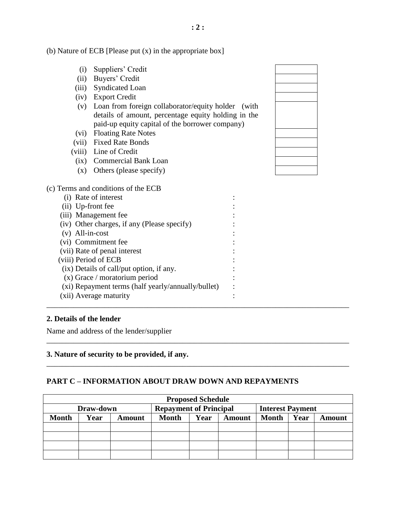(b) Nature of ECB [Please put (x) in the appropriate box]

- (i) Suppliers' Credit
- (ii) Buyers' Credit
- (iii) Syndicated Loan
- (iv) Export Credit
- (v) Loan from foreign collaborator/equity holder (with details of amount, percentage equity holding in the paid-up equity capital of the borrower company)
- (vi) Floating Rate Notes
- (vii) Fixed Rate Bonds
- (viii) Line of Credit
- (ix) Commercial Bank Loan
- (x) Others (please specify)

#### (c) Terms and conditions of the ECB

| (i) Rate of interest                               |  |
|----------------------------------------------------|--|
| (ii) Up-front fee                                  |  |
| (iii) Management fee                               |  |
| (iv) Other charges, if any (Please specify)        |  |
| $(v)$ All-in-cost                                  |  |
| (vi) Commitment fee                                |  |
| (vii) Rate of penal interest                       |  |
| (viii) Period of ECB                               |  |
| (ix) Details of call/put option, if any.           |  |
| $(x)$ Grace / moratorium period                    |  |
| (xi) Repayment terms (half yearly/annually/bullet) |  |
| (xii) Average maturity                             |  |
|                                                    |  |

#### **2. Details of the lender**

Name and address of the lender/supplier

### **3. Nature of security to be provided, if any.**

#### **PART C – INFORMATION ABOUT DRAW DOWN AND REPAYMENTS**

| <b>Proposed Schedule</b> |      |        |                               |      |        |                         |      |               |
|--------------------------|------|--------|-------------------------------|------|--------|-------------------------|------|---------------|
| Draw-down                |      |        | <b>Repayment of Principal</b> |      |        | <b>Interest Payment</b> |      |               |
| <b>Month</b>             | Year | Amount | <b>Month</b>                  | Year | Amount | <b>Month</b>            | Year | <b>Amount</b> |
|                          |      |        |                               |      |        |                         |      |               |
|                          |      |        |                               |      |        |                         |      |               |
|                          |      |        |                               |      |        |                         |      |               |
|                          |      |        |                               |      |        |                         |      |               |

\_\_\_\_\_\_\_\_\_\_\_\_\_\_\_\_\_\_\_\_\_\_\_\_\_\_\_\_\_\_\_\_\_\_\_\_\_\_\_\_\_\_\_\_\_\_\_\_\_\_\_\_\_\_\_\_\_\_\_\_\_\_\_\_\_\_\_\_\_\_\_\_\_\_\_\_\_\_

\_\_\_\_\_\_\_\_\_\_\_\_\_\_\_\_\_\_\_\_\_\_\_\_\_\_\_\_\_\_\_\_\_\_\_\_\_\_\_\_\_\_\_\_\_\_\_\_\_\_\_\_\_\_\_\_\_\_\_\_\_\_\_\_\_\_\_\_\_\_\_\_\_\_\_\_\_\_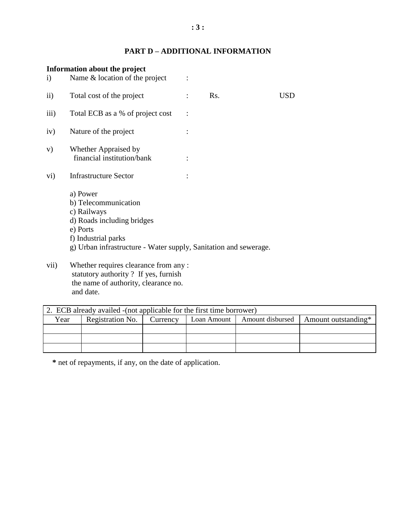# **PART D – ADDITIONAL INFORMATION**

|                    | Information about the project                                                                                                                                                        |     |     |
|--------------------|--------------------------------------------------------------------------------------------------------------------------------------------------------------------------------------|-----|-----|
| $\rm i)$           | Name $&$ location of the project                                                                                                                                                     |     |     |
| $\rm ii)$          | Total cost of the project                                                                                                                                                            | Rs. | USD |
| $\overline{111}$ ) | Total ECB as a % of project cost                                                                                                                                                     |     |     |
| iv)                | Nature of the project                                                                                                                                                                |     |     |
| V)                 | Whether Appraised by<br>financial institution/bank                                                                                                                                   |     |     |
| $\rm vi)$          | <b>Infrastructure Sector</b>                                                                                                                                                         |     |     |
|                    | a) Power<br>b) Telecommunication<br>c) Railways<br>d) Roads including bridges<br>e) Ports<br>f) Industrial parks<br>g) Urban infrastructure - Water supply, Sanitation and sewerage. |     |     |
| vii)               | Whether requires clearance from any:<br>$\epsilon$ etatutory authority $\epsilon$ . If yes furnish                                                                                   |     |     |

statutory authority ? If yes, furnish the name of authority, clearance no. and date.

| 2. ECB already availed - (not applicable for the first time borrower) |                  |          |             |                  |                     |
|-----------------------------------------------------------------------|------------------|----------|-------------|------------------|---------------------|
| Year                                                                  | Registration No. | Currency | Loan Amount | Amount disbursed | Amount outstanding* |
|                                                                       |                  |          |             |                  |                     |
|                                                                       |                  |          |             |                  |                     |
|                                                                       |                  |          |             |                  |                     |

 **\*** net of repayments, if any, on the date of application.